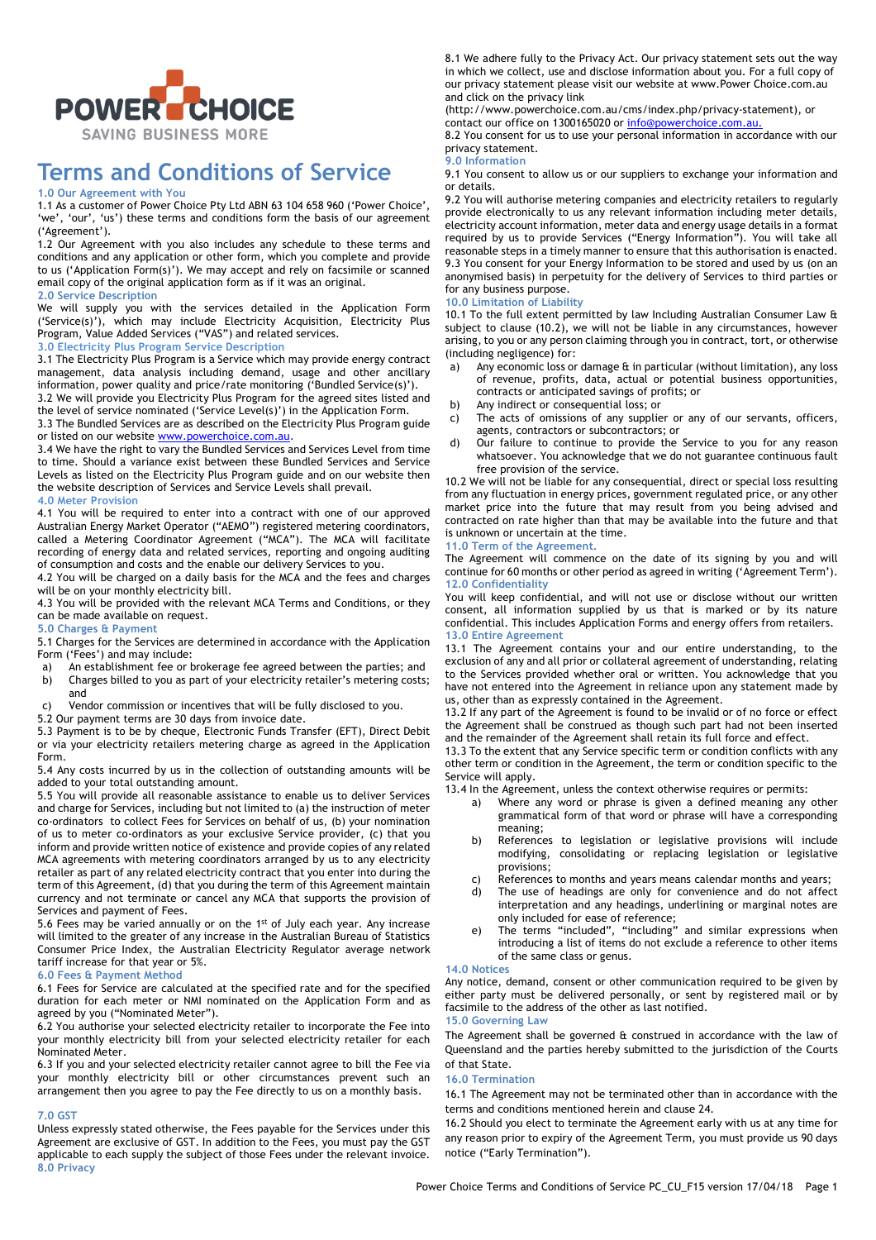

# **Terms and Conditions of Service**

# **1.0 Our Agreement with You**

1.1 As a customer of Power Choice Pty Ltd ABN 63 104 658 960 ('Power Choice', 'we', 'our', 'us') these terms and conditions form the basis of our agreement ('Agreement').

1.2 Our Agreement with you also includes any schedule to these terms and conditions and any application or other form, which you complete and provide to us ('Application Form(s)'). We may accept and rely on facsimile or scanned email copy of the original application form as if it was an original.

**2.0 Service Description**

We will supply you with the services detailed in the Application Form ('Service(s)'), which may include Electricity Acquisition, Electricity Plus Program, Value Added Services ("VAS") and related services.

# **3.0 Electricity Plus Program Service Description**

3.1 The Electricity Plus Program is a Service which may provide energy contract management, data analysis including demand, usage and other ancillary information, power quality and price/rate monitoring ('Bundled Service(s)').

3.2 We will provide you Electricity Plus Program for the agreed sites listed and the level of service nominated ('Service Level(s)') in the Application Form.

3.3 The Bundled Services are as described on the Electricity Plus Program guide or listed on our website www.powerchoice.com.au

3.4 We have the right to vary the Bundled Services and Services Level from time to time. Should a variance exist between these Bundled Services and Service Levels as listed on the Electricity Plus Program guide and on our website then the website description of Services and Service Levels shall prevail.

# **4.0 Meter Provision**

4.1 You will be required to enter into a contract with one of our approved Australian Energy Market Operator ("AEMO") registered metering coordinators, called a Metering Coordinator Agreement ("MCA"). The MCA will facilitate recording of energy data and related services, reporting and ongoing auditing of consumption and costs and the enable our delivery Services to you.

4.2 You will be charged on a daily basis for the MCA and the fees and charges will be on your monthly electricity bill.

4.3 You will be provided with the relevant MCA Terms and Conditions, or they can be made available on request.

# **5.0 Charges & Payment**

5.1 Charges for the Services are determined in accordance with the Application Form ('Fees') and may include:

- a) An establishment fee or brokerage fee agreed between the parties; and b) Charges billed to you as part of your electricity retailer's metering costs; and
- c) Vendor commission or incentives that will be fully disclosed to you.

5.2 Our payment terms are 30 days from invoice date.

5.3 Payment is to be by cheque, Electronic Funds Transfer (EFT), Direct Debit or via your electricity retailers metering charge as agreed in the Application Form.

5.4 Any costs incurred by us in the collection of outstanding amounts will be added to your total outstanding amount.

5.5 You will provide all reasonable assistance to enable us to deliver Services and charge for Services, including but not limited to (a) the instruction of meter co-ordinators to collect Fees for Services on behalf of us, (b) your nomination of us to meter co-ordinators as your exclusive Service provider, (c) that you inform and provide written notice of existence and provide copies of any related MCA agreements with metering coordinators arranged by us to any electricity retailer as part of any related electricity contract that you enter into during the term of this Agreement, (d) that you during the term of this Agreement maintain currency and not terminate or cancel any MCA that supports the provision of Services and payment of Fees.

5.6 Fees may be varied annually or on the 1st of July each year. Any increase will limited to the greater of any increase in the Australian Bureau of Statistics Consumer Price Index, the Australian Electricity Regulator average network tariff increase for that year or 5%.

# **6.0 Fees & Payment Method**

6.1 Fees for Service are calculated at the specified rate and for the specified duration for each meter or NMI nominated on the Application Form and as agreed by you ("Nominated Meter").

6.2 You authorise your selected electricity retailer to incorporate the Fee into your monthly electricity bill from your selected electricity retailer for each Nominated Meter.

6.3 If you and your selected electricity retailer cannot agree to bill the Fee via your monthly electricity bill or other circumstances prevent such an arrangement then you agree to pay the Fee directly to us on a monthly basis.

### **7.0 GST**

Unless expressly stated otherwise, the Fees payable for the Services under this Agreement are exclusive of GST. In addition to the Fees, you must pay the GST applicable to each supply the subject of those Fees under the relevant invoice. **8.0 Privacy**

8.1 We adhere fully to the Privacy Act. Our privacy statement sets out the way in which we collect, use and disclose information about you. For a full copy of our privacy statement please visit our website at www.Power Choice.com.au and click on the privacy link

(http://www.powerchoice.com.au/cms/index.php/privacy-statement), or contact our office on 1300165020 or info@powerchoice.com.au.

8.2 You consent for us to use your personal information in accordance with our privacy statement.

# **9.0 Information**

9.1 You consent to allow us or our suppliers to exchange your information and or details.

9.2 You will authorise metering companies and electricity retailers to regularly provide electronically to us any relevant information including meter details, electricity account information, meter data and energy usage details in a format required by us to provide Services ("Energy Information"). You will take all reasonable steps in a timely manner to ensure that this authorisation is enacted. 9.3 You consent for your Energy Information to be stored and used by us (on an anonymised basis) in perpetuity for the delivery of Services to third parties or for any business purpose.

# **10.0 Limitation of Liability**

10.1 To the full extent permitted by law Including Australian Consumer Law & subject to clause (10.2), we will not be liable in any circumstances, however arising, to you or any person claiming through you in contract, tort, or otherwise (including negligence) for:

- a) Any economic loss or damage & in particular (without limitation), any loss of revenue, profits, data, actual or potential business opportunities, contracts or anticipated savings of profits; or
- b) Any indirect or consequential loss; or
- c) The acts of omissions of any supplier or any of our servants, officers, agents, contractors or subcontractors; or
- d) Our failure to continue to provide the Service to you for any reason whatsoever. You acknowledge that we do not guarantee continuous fault free provision of the service.

10.2 We will not be liable for any consequential, direct or special loss resulting from any fluctuation in energy prices, government regulated price, or any other market price into the future that may result from you being advised and contracted on rate higher than that may be available into the future and that is unknown or uncertain at the time.

# **11.0 Term of the Agreement.**

The Agreement will commence on the date of its signing by you and will continue for 60 months or other period as agreed in writing ('Agreement Term'). **12.0 Confidentiality**

You will keep confidential, and will not use or disclose without our written consent, all information supplied by us that is marked or by its nature confidential. This includes Application Forms and energy offers from retailers. **13.0 Entire Agreement**

13.1 The Agreement contains your and our entire understanding, to the exclusion of any and all prior or collateral agreement of understanding, relating to the Services provided whether oral or written. You acknowledge that you have not entered into the Agreement in reliance upon any statement made by us, other than as expressly contained in the Agreement.

13.2 If any part of the Agreement is found to be invalid or of no force or effect the Agreement shall be construed as though such part had not been inserted and the remainder of the Agreement shall retain its full force and effect.

13.3 To the extent that any Service specific term or condition conflicts with any other term or condition in the Agreement, the term or condition specific to the Service will apply.

13.4 In the Agreement, unless the context otherwise requires or permits:

- a) Where any word or phrase is given a defined meaning any other grammatical form of that word or phrase will have a corresponding meaning;
- b) References to legislation or legislative provisions will include modifying, consolidating or replacing legislation or legislative provisions;
- c) References to months and years means calendar months and years;
- d) The use of headings are only for convenience and do not affect interpretation and any headings, underlining or marginal notes are only included for ease of reference;
- e) The terms "included", "including" and similar expressions when introducing a list of items do not exclude a reference to other items of the same class or genus.

# **14.0 Notices**

Any notice, demand, consent or other communication required to be given by either party must be delivered personally, or sent by registered mail or by facsimile to the address of the other as last notified. **15.0 Governing Law**

# The Agreement shall be governed & construed in accordance with the law of Queensland and the parties hereby submitted to the jurisdiction of the Courts of that State.

# **16.0 Termination**

16.1 The Agreement may not be terminated other than in accordance with the terms and conditions mentioned herein and clause 24.

16.2 Should you elect to terminate the Agreement early with us at any time for any reason prior to expiry of the Agreement Term, you must provide us 90 days notice ("Early Termination").